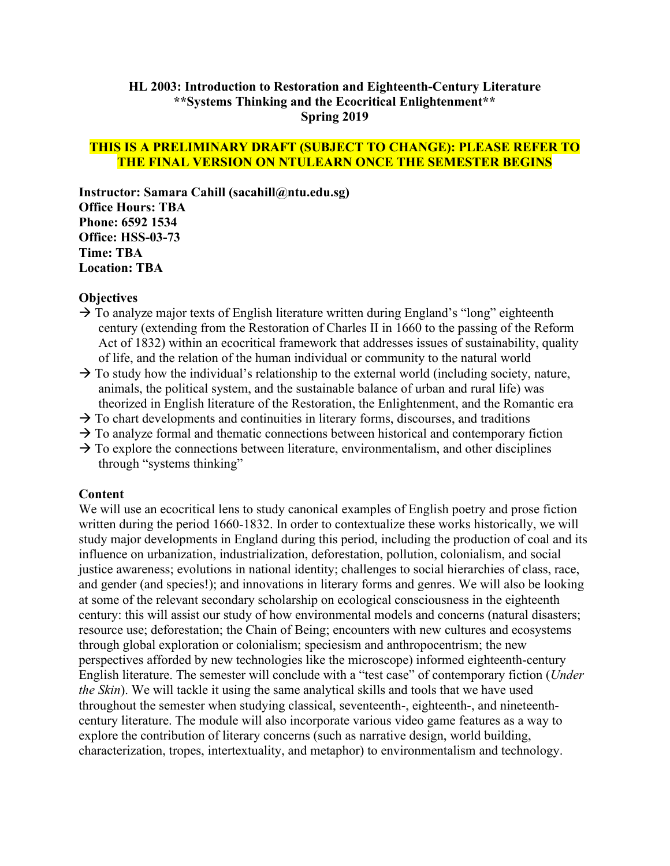#### **HL 2003: Introduction to Restoration and Eighteenth-Century Literature \*\*Systems Thinking and the Ecocritical Enlightenment\*\* Spring 2019**

#### **THIS IS A PRELIMINARY DRAFT (SUBJECT TO CHANGE): PLEASE REFER TO THE FINAL VERSION ON NTULEARN ONCE THE SEMESTER BEGINS**

**Instructor: Samara Cahill (sacahill@ntu.edu.sg) Office Hours: TBA Phone: 6592 1534 Office: HSS-03-73 Time: TBA Location: TBA**

#### **Objectives**

- $\rightarrow$  To analyze major texts of English literature written during England's "long" eighteenth century (extending from the Restoration of Charles II in 1660 to the passing of the Reform Act of 1832) within an ecocritical framework that addresses issues of sustainability, quality of life, and the relation of the human individual or community to the natural world
- $\rightarrow$  To study how the individual's relationship to the external world (including society, nature, animals, the political system, and the sustainable balance of urban and rural life) was theorized in English literature of the Restoration, the Enlightenment, and the Romantic era
- $\rightarrow$  To chart developments and continuities in literary forms, discourses, and traditions
- $\rightarrow$  To analyze formal and thematic connections between historical and contemporary fiction
- $\rightarrow$  To explore the connections between literature, environmentalism, and other disciplines through "systems thinking"

#### **Content**

We will use an ecocritical lens to study canonical examples of English poetry and prose fiction written during the period 1660-1832. In order to contextualize these works historically, we will study major developments in England during this period, including the production of coal and its influence on urbanization, industrialization, deforestation, pollution, colonialism, and social justice awareness; evolutions in national identity; challenges to social hierarchies of class, race, and gender (and species!); and innovations in literary forms and genres. We will also be looking at some of the relevant secondary scholarship on ecological consciousness in the eighteenth century: this will assist our study of how environmental models and concerns (natural disasters; resource use; deforestation; the Chain of Being; encounters with new cultures and ecosystems through global exploration or colonialism; speciesism and anthropocentrism; the new perspectives afforded by new technologies like the microscope) informed eighteenth-century English literature. The semester will conclude with a "test case" of contemporary fiction (*Under the Skin*). We will tackle it using the same analytical skills and tools that we have used throughout the semester when studying classical, seventeenth-, eighteenth-, and nineteenthcentury literature. The module will also incorporate various video game features as a way to explore the contribution of literary concerns (such as narrative design, world building, characterization, tropes, intertextuality, and metaphor) to environmentalism and technology.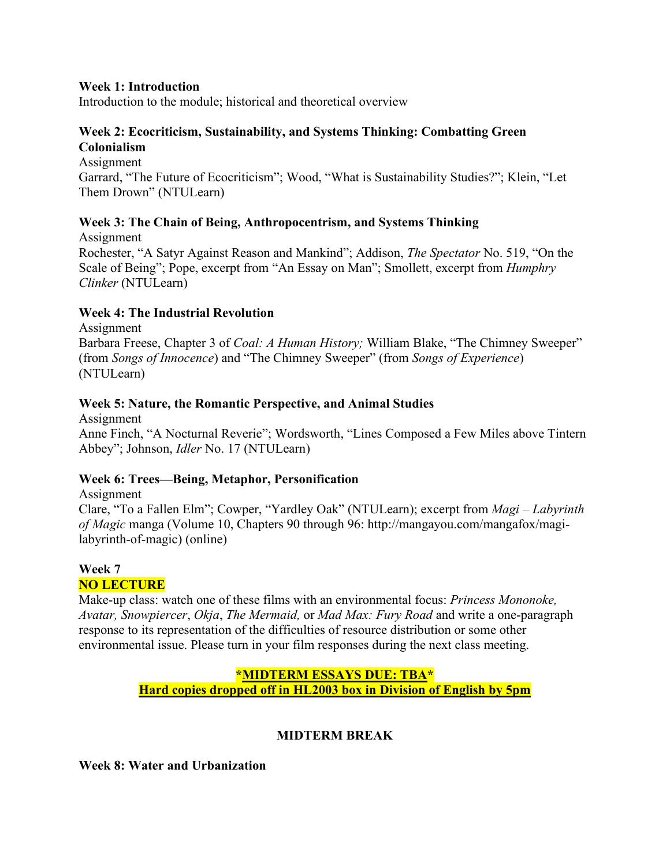#### **Week 1: Introduction**

Introduction to the module; historical and theoretical overview

#### **Week 2: Ecocriticism, Sustainability, and Systems Thinking: Combatting Green Colonialism**

Assignment Garrard, "The Future of Ecocriticism"; Wood, "What is Sustainability Studies?"; Klein, "Let Them Drown" (NTULearn)

## **Week 3: The Chain of Being, Anthropocentrism, and Systems Thinking**

Assignment Rochester, "A Satyr Against Reason and Mankind"; Addison, *The Spectator* No. 519, "On the Scale of Being"; Pope, excerpt from "An Essay on Man"; Smollett, excerpt from *Humphry Clinker* (NTULearn)

## **Week 4: The Industrial Revolution**

Assignment Barbara Freese, Chapter 3 of *Coal: A Human History;* William Blake, "The Chimney Sweeper" (from *Songs of Innocence*) and "The Chimney Sweeper" (from *Songs of Experience*) (NTULearn)

## **Week 5: Nature, the Romantic Perspective, and Animal Studies**

Assignment Anne Finch, "A Nocturnal Reverie"; Wordsworth, "Lines Composed a Few Miles above Tintern Abbey"; Johnson, *Idler* No. 17 (NTULearn)

## **Week 6: Trees—Being, Metaphor, Personification**

Assignment Clare, "To a Fallen Elm"; Cowper, "Yardley Oak" (NTULearn); excerpt from *Magi* – *Labyrinth of Magic* manga (Volume 10, Chapters 90 through 96: http://mangayou.com/mangafox/magilabyrinth-of-magic) (online)

#### **Week 7 NO LECTURE**

Make-up class: watch one of these films with an environmental focus: *Princess Mononoke, Avatar, Snowpiercer*, *Okja*, *The Mermaid,* or *Mad Max: Fury Road* and write a one-paragraph response to its representation of the difficulties of resource distribution or some other environmental issue. Please turn in your film responses during the next class meeting.

## **\*MIDTERM ESSAYS DUE: TBA\* Hard copies dropped off in HL2003 box in Division of English by 5pm**

## **MIDTERM BREAK**

**Week 8: Water and Urbanization**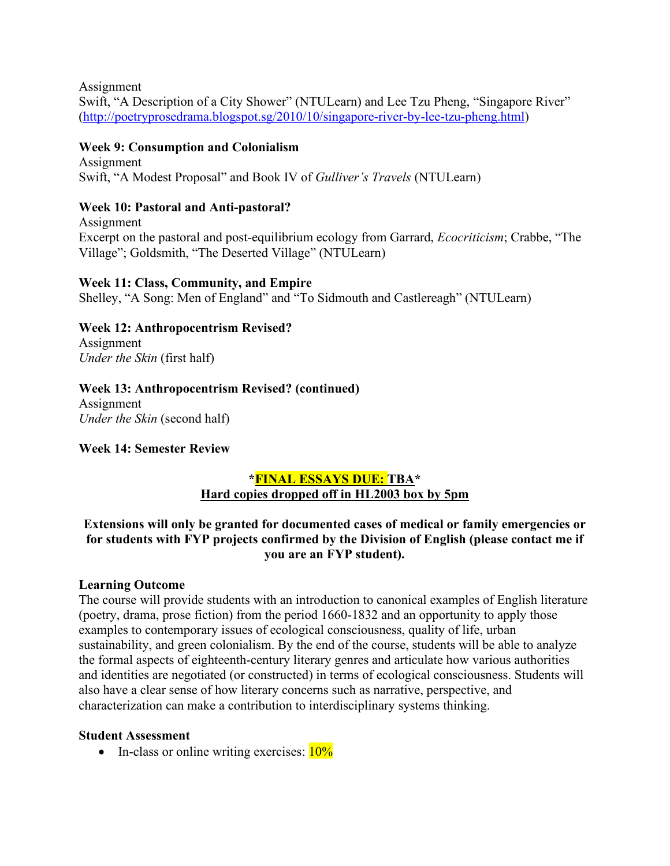Assignment Swift, "A Description of a City Shower" (NTULearn) and Lee Tzu Pheng, "Singapore River" [\(http://poetryprosedrama.blogspot.sg/2010/10/singapore-river-by-lee-tzu-pheng.html\)](http://poetryprosedrama.blogspot.sg/2010/10/singapore-river-by-lee-tzu-pheng.html)

## **Week 9: Consumption and Colonialism**

Assignment Swift, "A Modest Proposal" and Book IV of *Gulliver's Travels* (NTULearn)

## **Week 10: Pastoral and Anti-pastoral?**

Assignment Excerpt on the pastoral and post-equilibrium ecology from Garrard, *Ecocriticism*; Crabbe, "The Village"; Goldsmith, "The Deserted Village" (NTULearn)

## **Week 11: Class, Community, and Empire**

Shelley, "A Song: Men of England" and "To Sidmouth and Castlereagh" (NTULearn)

# **Week 12: Anthropocentrism Revised?**

Assignment *Under the Skin* (first half)

## **Week 13: Anthropocentrism Revised? (continued)**

Assignment *Under the Skin* (second half)

## **Week 14: Semester Review**

# **\*FINAL ESSAYS DUE: TBA\* Hard copies dropped off in HL2003 box by 5pm**

## **Extensions will only be granted for documented cases of medical or family emergencies or for students with FYP projects confirmed by the Division of English (please contact me if you are an FYP student).**

## **Learning Outcome**

The course will provide students with an introduction to canonical examples of English literature (poetry, drama, prose fiction) from the period 1660-1832 and an opportunity to apply those examples to contemporary issues of ecological consciousness, quality of life, urban sustainability, and green colonialism. By the end of the course, students will be able to analyze the formal aspects of eighteenth-century literary genres and articulate how various authorities and identities are negotiated (or constructed) in terms of ecological consciousness. Students will also have a clear sense of how literary concerns such as narrative, perspective, and characterization can make a contribution to interdisciplinary systems thinking.

## **Student Assessment**

• In-class or online writing exercises:  $10\%$